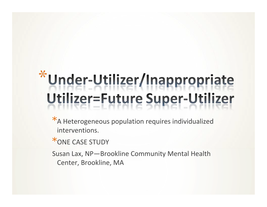## \*Under-Utilizer/Inappropriate Utilizer=Future Super-Utilizer

- \*A Heterogeneous population requires individualized interventions.
- \*ONE CASE STUDY
- Susan Lax, NP—Brookline Community Mental Health Center, Brookline, MA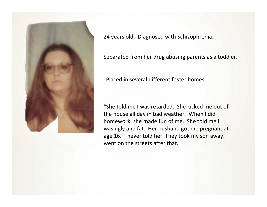

24 years old. Diagnosed with Schizophrenia.

Separated from her drug abusing parents as <sup>a</sup> toddler.

Placed in several different foster homes.

"She told me I was retarded. She kicked me out of the house all day in bad weather. When I did homework, she made fun of me. She told me I was ugly and fat. Her husband got me pregnant at age 16. I never told her. They took my son away. I went on the streets after that.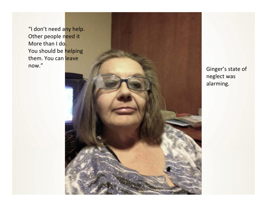"I don't need a<mark>ny help.</mark> Other people n<mark>ee</mark>d it More than I do. You should be helping them. You can leave now."

 Ginger's state of neglect was alarming.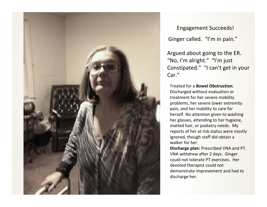

Ginger called. "I'm in pain." Engagement Succeeds!

Argued about going to the ER. "No, I'm alright." "I'm just Constipated." "I can't get in your Car."

Treated for a **Bowel Obstruction**. Discharged without evaluation or treatment for her severe mobility problems, her severe lower extremity pain, and her inability to care for herself. No attention given to washing her glasses, attending to her hygiene, matted hair, or podiatry needs. My reports of her at risk status were mostly ignored, though staff did obtain a walker for her.

**Discharge plan:** Prescribed VNA and PT. VNA withdrew after 2 days. Ginger could not tolerate PT exercises. Her devoted therapist could not demonstrate improvement and had to discharge her.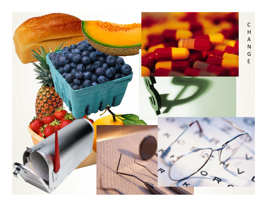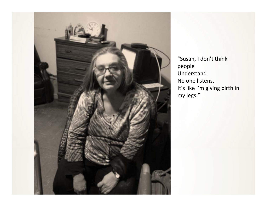

"Susan, I don't think people Understand. No one listens. It's like I'm giving birth in my legs."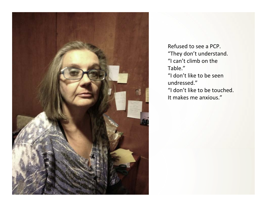

Refused to see a PCP. "They don't understand. "I can't climb on the Table." "I don't like to be seen undressed." "I don't like to be touched. It makes me anxious."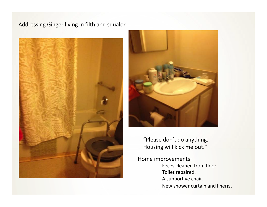## Addressing Ginger living in filth and squalor





"Please don't do anything. Housing will kick me out."

Home improvements:

Feces cleaned from floor. Toilet repaired. A supportive chair. New shower curtain and linens.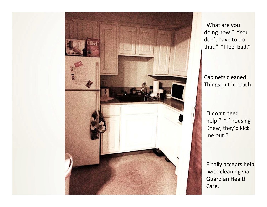

"What are you doing now." "You don't have to do that." "I feel bad."

Cabinets cleaned. Things put in reach.

"I don't need help." "If housing Knew, they'd kick me out."

Finally accepts help with cleaning via Guardian Health Care.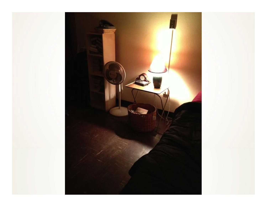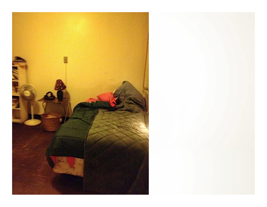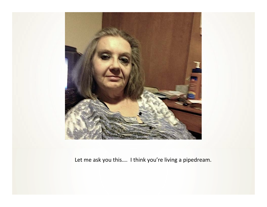

## Let me ask you this…. I think you're living <sup>a</sup> pipedream.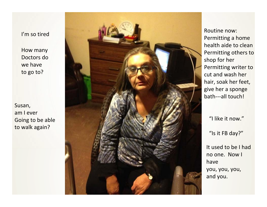I'm so tired

How many Doctors dowe have to go to?

Susan, am I ever Going to be able to walk again?



Routine now: Permitting <sup>a</sup> home health aide to clean Permitting others to shop for her Permitting writer to cut and wash her hair, soak her feet, give her <sup>a</sup> sponge bath‐‐‐all touch!

"I like it now."

"Is it FB day?"

It used to be I had no one. Now I haveyou, you, you, and you.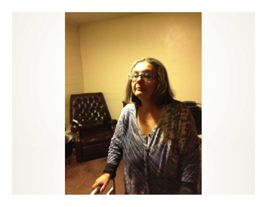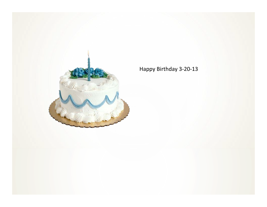

## Happy Birthday 3‐20‐13